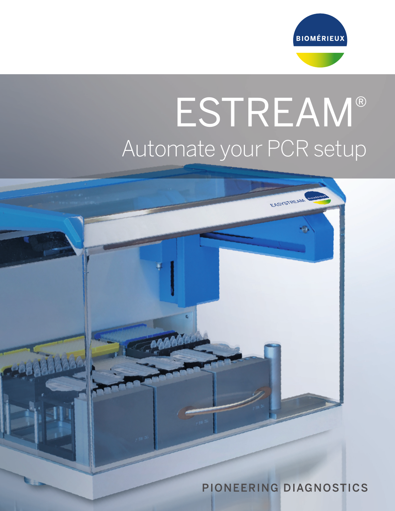

# ESTREAM® Automate your PCR setup